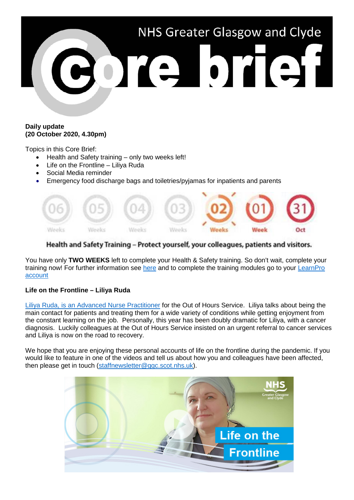

### **Daily update (20 October 2020, 4.30pm)**

Topics in this Core Brief:

- Health and Safety training only two weeks left!
- Life on the Frontline Liliya Ruda
- Social Media reminder
- Emergency food discharge bags and toiletries/pyjamas for inpatients and parents



# Health and Safety Training - Protect yourself, your colleagues, patients and visitors.

You have only **TWO WEEKS** left to complete your Health & Safety training. So don't wait, complete your training now! For further information see [here](https://www.nhsggc.org.uk/working-with-us/hr-connect/health-safety/training-and-education/health-safety-training/) and to complete the training modules go to your [LearnPro](http://nhs.learnprouk.com/)  [account](http://nhs.learnprouk.com/)

## **Life on the Frontline – Liliya Ruda**

[Liliya Ruda, is an Advanced Nurse Practitioner](https://www.youtube.com/watch?v=pbp8X1a7V9E) for the Out of Hours Service. Liliya talks about being the main contact for patients and treating them for a wide variety of conditions while getting enjoyment from the constant learning on the job. Personally, this year has been doubly dramatic for Liliya, with a cancer diagnosis. Luckily colleagues at the Out of Hours Service insisted on an urgent referral to cancer services and Liliya is now on the road to recovery.

We hope that you are enjoying these personal accounts of life on the frontline during the pandemic. If you would like to feature in one of the videos and tell us about how you and colleagues have been affected, then please get in touch [\(staffnewsletter@ggc.scot.nhs.uk\)](mailto:staffnewsletter@ggc.scot.nhs.uk).